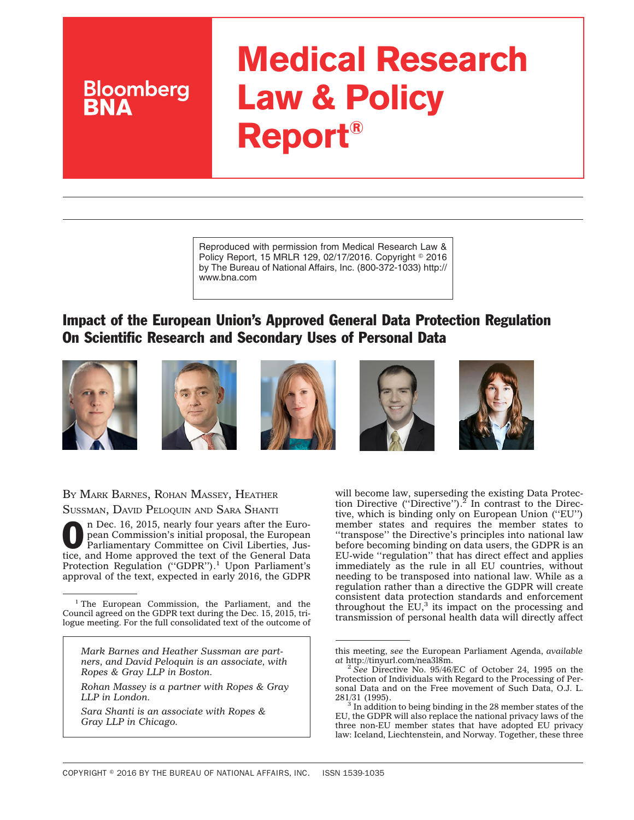# **Medical Research Law & Policy Report®**

Reproduced with permission from Medical Research Law & Policy Report, 15 MRLR 129, 02/17/2016. Copyright © 2016 by The Bureau of National Affairs, Inc. (800-372-1033) http:// www.bna.com

# Impact of the European Union's Approved General Data Protection Regulation On Scientific Research and Secondary Uses of Personal Data



**Bloomberg** 









BY MARK BARNES, ROHAN MASSEY, HEATHER SUSSMAN, DAVID PELOQUIN AND SARA SHANTI

On Dec. 16, 2015, nearly four years after the European Commission's initial proposal, the European Parliamentary Committee on Civil Liberties, Justice and Juneau United States pean Commission's initial proposal, the European tice, and Home approved the text of the General Data Protection Regulation ("GDPR").<sup>1</sup> Upon Parliament's approval of the text, expected in early 2016, the GDPR

*Mark Barnes and Heather Sussman are partners, and David Peloquin is an associate, with Ropes & Gray LLP in Boston.*

*Rohan Massey is a partner with Ropes & Gray LLP in London.*

*Sara Shanti is an associate with Ropes & Gray LLP in Chicago.*

will become law, superseding the existing Data Protection Directive ("Directive").<sup>2</sup> In contrast to the Directive, which is binding only on European Union (''EU'') member states and requires the member states to ''transpose'' the Directive's principles into national law before becoming binding on data users, the GDPR is an EU-wide ''regulation'' that has direct effect and applies immediately as the rule in all EU countries, without needing to be transposed into national law. While as a regulation rather than a directive the GDPR will create consistent data protection standards and enforcement throughout the  $\mathrm{EU}^3$ , its impact on the processing and transmission of personal health data will directly affect

<sup>&</sup>lt;sup>1</sup> The European Commission, the Parliament, and the Council agreed on the GDPR text during the Dec. 15, 2015, trilogue meeting. For the full consolidated text of the outcome of

this meeting, *see* the European Parliament Agenda, *available at* [http://tinyurl.com/nea3l8m.](http://tinyurl.com/nea3l8m)

<sup>2</sup> *See* Directive No. 95/46/EC of October 24, 1995 on the Protection of Individuals with Regard to the Processing of Personal Data and on the Free movement of Such Data, O.J. L. 281/31 (1995).

 $3$  In addition to being binding in the 28 member states of the EU, the GDPR will also replace the national privacy laws of the three non-EU member states that have adopted EU privacy law: Iceland, Liechtenstein, and Norway. Together, these three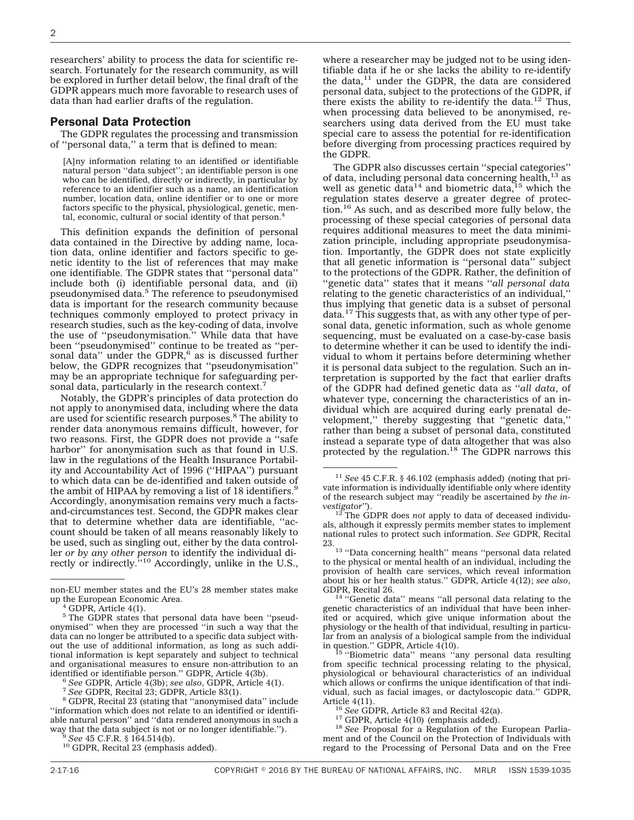researchers' ability to process the data for scientific research. Fortunately for the research community, as will be explored in further detail below, the final draft of the GDPR appears much more favorable to research uses of data than had earlier drafts of the regulation.

# Personal Data Protection

The GDPR regulates the processing and transmission of ''personal data,'' a term that is defined to mean:

[A]ny information relating to an identified or identifiable natural person ''data subject''; an identifiable person is one who can be identified, directly or indirectly, in particular by reference to an identifier such as a name, an identification number, location data, online identifier or to one or more factors specific to the physical, physiological, genetic, mental, economic, cultural or social identity of that person.<sup>4</sup>

This definition expands the definition of personal data contained in the Directive by adding name, location data, online identifier and factors specific to genetic identity to the list of references that may make one identifiable. The GDPR states that ''personal data'' include both (i) identifiable personal data, and (ii) pseudonymised data.<sup>5</sup> The reference to pseudonymised data is important for the research community because techniques commonly employed to protect privacy in research studies, such as the key-coding of data, involve the use of ''pseudonymisation.'' While data that have been ''pseudonymised'' continue to be treated as ''personal data" under the  $GDPR$ <sup>6</sup> as is discussed further below, the GDPR recognizes that ''pseudonymisation'' may be an appropriate technique for safeguarding personal data, particularly in the research context.<sup>7</sup>

Notably, the GDPR's principles of data protection do not apply to anonymised data, including where the data are used for scientific research purposes.<sup>8</sup> The ability to render data anonymous remains difficult, however, for two reasons. First, the GDPR does not provide a ''safe harbor'' for anonymisation such as that found in U.S. law in the regulations of the Health Insurance Portability and Accountability Act of 1996 (''HIPAA'') pursuant to which data can be de-identified and taken outside of the ambit of HIPAA by removing a list of 18 identifiers.<sup>9</sup> Accordingly, anonymisation remains very much a factsand-circumstances test. Second, the GDPR makes clear that to determine whether data are identifiable, ''account should be taken of all means reasonably likely to be used, such as singling out, either by the data controller *or by any other person* to identify the individual di-rectly or indirectly.''10 Accordingly, unlike in the U.S.,

where a researcher may be judged not to be using identifiable data if he or she lacks the ability to re-identify the data,<sup>11</sup> under the GDPR, the data are considered personal data, subject to the protections of the GDPR, if there exists the ability to re-identify the data.<sup>12</sup> Thus, when processing data believed to be anonymised, researchers using data derived from the EU must take special care to assess the potential for re-identification before diverging from processing practices required by the GDPR.

The GDPR also discusses certain ''special categories'' of data, including personal data concerning health, $^{13}$  as well as genetic data<sup>14</sup> and biometric data,<sup>15</sup> which the regulation states deserve a greater degree of protection.<sup>16</sup> As such, and as described more fully below, the processing of these special categories of personal data requires additional measures to meet the data minimization principle, including appropriate pseudonymisation. Importantly, the GDPR does not state explicitly that all genetic information is ''personal data'' subject to the protections of the GDPR. Rather, the definition of ''genetic data'' states that it means ''*all personal data* relating to the genetic characteristics of an individual,'' thus implying that genetic data is a subset of personal data.17 This suggests that, as with any other type of personal data, genetic information, such as whole genome sequencing, must be evaluated on a case-by-case basis to determine whether it can be used to identify the individual to whom it pertains before determining whether it is personal data subject to the regulation. Such an interpretation is supported by the fact that earlier drafts of the GDPR had defined genetic data as ''*all data*, of whatever type, concerning the characteristics of an individual which are acquired during early prenatal development,'' thereby suggesting that ''genetic data,'' rather than being a subset of personal data, constituted instead a separate type of data altogether that was also protected by the regulation.18 The GDPR narrows this

non-EU member states and the EU's 28 member states make up the European Economic Area. <sup>4</sup> GDPR, Article 4(1).

<sup>&</sup>lt;sup>5</sup> The GDPR states that personal data have been "pseudonymised'' when they are processed ''in such a way that the data can no longer be attributed to a specific data subject without the use of additional information, as long as such additional information is kept separately and subject to technical and organisational measures to ensure non-attribution to an identified or identifiable person." GDPR, Article 4(3b).

<sup>&</sup>lt;sup>6</sup> See GDPR, Article  $4(3b)$ ; see also, GDPR, Article  $4(1)$ .<br><sup>7</sup> See GDPR, Recital 23; GDPR, Article 83(1).<br><sup>8</sup> GDPR, Recital 23 (stating that "anonymised data" include ''information which does not relate to an identified or identifiable natural person'' and ''data rendered anonymous in such a way that the data subject is not or no longer identifiable.'').<br><sup>9</sup> *See* 45 C.F.R. § 164.514(b).<br><sup>10</sup> GDPR, Recital 23 (emphasis added).

<sup>11</sup> *See* 45 C.F.R. § 46.102 (emphasis added) (noting that private information is individually identifiable only where identity of the research subject may ''readily be ascertained *by the in-*

<sup>&</sup>lt;sup>12</sup> The GDPR does *not* apply to data of deceased individuals, although it expressly permits member states to implement national rules to protect such information. *See* GDPR, Recital

<sup>23.13</sup> ''Data concerning health'' means ''personal data related to the physical or mental health of an individual, including the provision of health care services, which reveal information about his or her health status.'' GDPR, Article 4(12); *see also*,

<sup>&</sup>lt;sup>14</sup> "Genetic data" means "all personal data relating to the genetic characteristics of an individual that have been inherited or acquired, which give unique information about the physiology or the health of that individual, resulting in particular from an analysis of a biological sample from the individual in question.'' GDPR, Article 4(10). <sup>15</sup> ''Biometric data'' means ''any personal data resulting

from specific technical processing relating to the physical, physiological or behavioural characteristics of an individual which allows or confirms the unique identification of that individual, such as facial images, or dactyloscopic data.'' GDPR,

<sup>&</sup>lt;sup>16</sup> *See* GDPR, Article 83 and Recital 42(a).<br><sup>17</sup> GDPR, Article 4(10) (emphasis added).<br><sup>18</sup> *See* Proposal for a Regulation of the European Parliament and of the Council on the Protection of Individuals with regard to the Processing of Personal Data and on the Free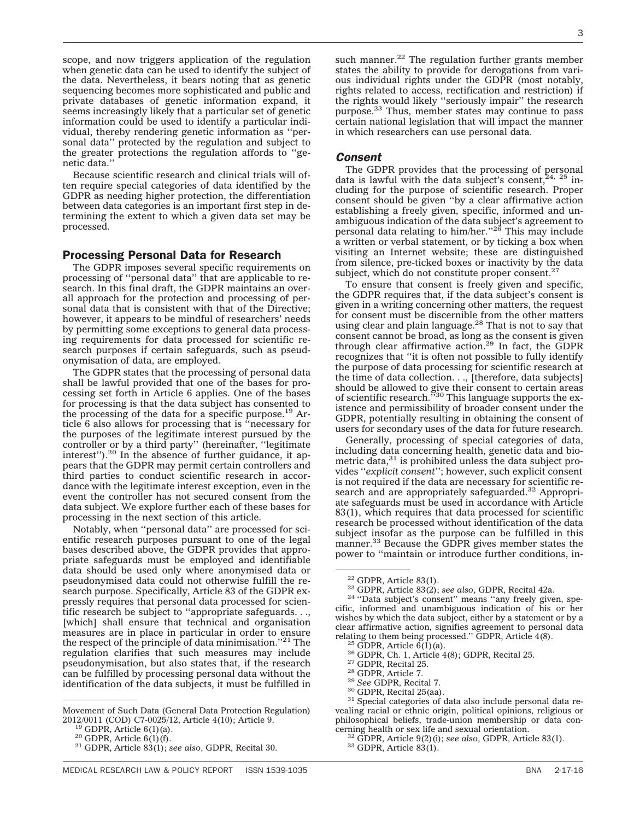scope, and now triggers application of the regulation when genetic data can be used to identify the subject of the data. Nevertheless, it bears noting that as genetic sequencing becomes more sophisticated and public and private databases of genetic information expand, it seems increasingly likely that a particular set of genetic information could be used to identify a particular individual, thereby rendering genetic information as ''personal data'' protected by the regulation and subject to the greater protections the regulation affords to ''genetic data.''

Because scientific research and clinical trials will often require special categories of data identified by the GDPR as needing higher protection, the differentiation between data categories is an important first step in determining the extent to which a given data set may be processed.

# Processing Personal Data for Research

The GDPR imposes several specific requirements on processing of ''personal data'' that are applicable to research. In this final draft, the GDPR maintains an overall approach for the protection and processing of personal data that is consistent with that of the Directive; however, it appears to be mindful of researchers' needs by permitting some exceptions to general data processing requirements for data processed for scientific research purposes if certain safeguards, such as pseudonymisation of data, are employed.

The GDPR states that the processing of personal data shall be lawful provided that one of the bases for processing set forth in Article 6 applies. One of the bases for processing is that the data subject has consented to the processing of the data for a specific purpose.<sup>19</sup> Article 6 also allows for processing that is ''necessary for the purposes of the legitimate interest pursued by the controller or by a third party'' (hereinafter, ''legitimate interest"). $^{20}$  In the absence of further guidance, it appears that the GDPR may permit certain controllers and third parties to conduct scientific research in accordance with the legitimate interest exception, even in the event the controller has not secured consent from the data subject. We explore further each of these bases for processing in the next section of this article.

Notably, when ''personal data'' are processed for scientific research purposes pursuant to one of the legal bases described above, the GDPR provides that appropriate safeguards must be employed and identifiable data should be used only where anonymised data or pseudonymised data could not otherwise fulfill the research purpose. Specifically, Article 83 of the GDPR expressly requires that personal data processed for scientific research be subject to ''appropriate safeguards. . ., [which] shall ensure that technical and organisation measures are in place in particular in order to ensure the respect of the principle of data minimisation.''21 The regulation clarifies that such measures may include pseudonymisation, but also states that, if the research can be fulfilled by processing personal data without the identification of the data subjects, it must be fulfilled in

such manner. $^{22}$  The regulation further grants member states the ability to provide for derogations from various individual rights under the GDPR (most notably, rights related to access, rectification and restriction) if the rights would likely ''seriously impair'' the research purpose.23 Thus, member states may continue to pass certain national legislation that will impact the manner in which researchers can use personal data.

#### *Consent*

The GDPR provides that the processing of personal data is lawful with the data subject's consent,  $24$ ,  $25$  including for the purpose of scientific research. Proper consent should be given ''by a clear affirmative action establishing a freely given, specific, informed and unambiguous indication of the data subject's agreement to personal data relating to him/her.''26 This may include a written or verbal statement, or by ticking a box when visiting an Internet website; these are distinguished from silence, pre-ticked boxes or inactivity by the data subject, which do not constitute proper consent. $27$ 

To ensure that consent is freely given and specific, the GDPR requires that, if the data subject's consent is given in a writing concerning other matters, the request for consent must be discernible from the other matters using clear and plain language.<sup>28</sup> That is not to say that consent cannot be broad, as long as the consent is given<br>through clear affirmative action.<sup>29</sup> In fact, the GDPR recognizes that ''it is often not possible to fully identify the purpose of data processing for scientific research at the time of data collection. . ., [therefore, data subjects] should be allowed to give their consent to certain areas of scientific research.''30 This language supports the existence and permissibility of broader consent under the GDPR, potentially resulting in obtaining the consent of users for secondary uses of the data for future research.

Generally, processing of special categories of data, including data concerning health, genetic data and biometric data,<sup>31</sup> is prohibited unless the data subject provides ''*explicit consent*''; however, such explicit consent is not required if the data are necessary for scientific research and are appropriately safeguarded.<sup>32</sup> Appropriate safeguards must be used in accordance with Article 83(1), which requires that data processed for scientific research be processed without identification of the data subject insofar as the purpose can be fulfilled in this manner.<sup>33</sup> Because the GDPR gives member states the power to ''maintain or introduce further conditions, in-

Movement of Such Data (General Data Protection Regulation) 2012/0011 (COD) C7-0025/12, Article 4(10); Article 9. <sup>19</sup> GDPR, Article 6(1)(a). <sup>20</sup> GDPR, Article 6(1)(f). <sup>21</sup> GDPR, Article 83(1); *see also*, GDPR, Recital 30.

<sup>&</sup>lt;sup>22</sup> GDPR, Article 83(1).<br><sup>23</sup> GDPR, Article 83(2); *see also*, GDPR, Recital 42a.<br><sup>24</sup> ''Data subject's consent'' means ''any freely given, specific, informed and unambiguous indication of his or her wishes by which the data subject, either by a statement or by a clear affirmative action, signifies agreement to personal data relating to them being processed." GDPR, Article 4(8).

<sup>&</sup>lt;sup>25</sup> GDPR, Article  $6(1)(a)$ .<br>
<sup>26</sup> GDPR, Ch. 1, Article 4(8); GDPR, Recital 25.<br>
<sup>27</sup> GDPR, Recital 25.<br>
<sup>28</sup> GDPR, Article 7.<br>
<sup>29</sup> See GDPR, Recital 7.<br>
<sup>30</sup> GDPR, Recital 25(aa).<br>
<sup>31</sup> Special categories of data also i vealing racial or ethnic origin, political opinions, religious or philosophical beliefs, trade-union membership or data con-

<sup>&</sup>lt;sup>32</sup> GDPR, Article 9(2)(i); *see also*, GDPR, Article 83(1). <sup>33</sup> GDPR, Article 83(1).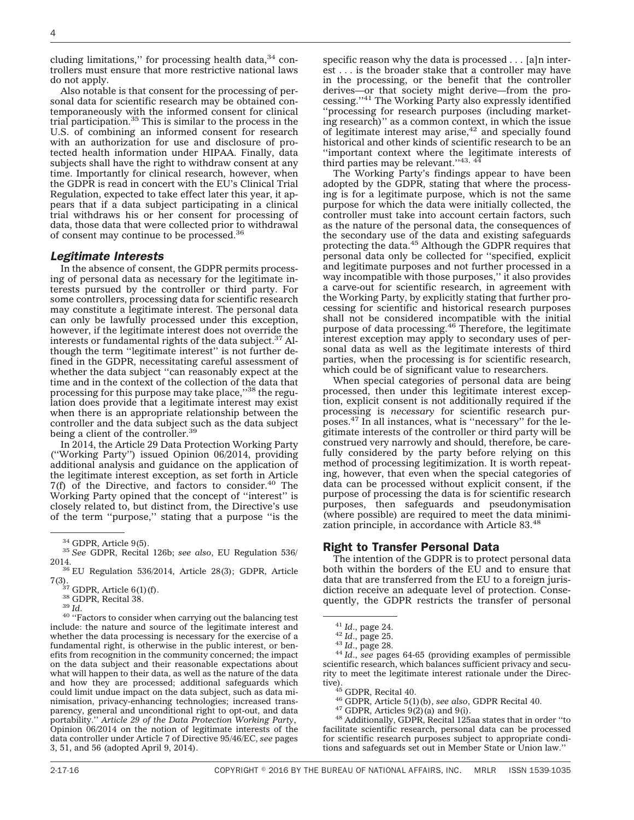cluding limitations," for processing health data, $34$  controllers must ensure that more restrictive national laws do not apply.

Also notable is that consent for the processing of personal data for scientific research may be obtained contemporaneously with the informed consent for clinical trial participation.35 This is similar to the process in the U.S. of combining an informed consent for research with an authorization for use and disclosure of protected health information under HIPAA. Finally, data subjects shall have the right to withdraw consent at any time. Importantly for clinical research, however, when the GDPR is read in concert with the EU's Clinical Trial Regulation, expected to take effect later this year, it appears that if a data subject participating in a clinical trial withdraws his or her consent for processing of data, those data that were collected prior to withdrawal<br>of consent may continue to be processed.<sup>36</sup>

#### *Legitimate Interests*

In the absence of consent, the GDPR permits processing of personal data as necessary for the legitimate interests pursued by the controller or third party. For some controllers, processing data for scientific research may constitute a legitimate interest. The personal data can only be lawfully processed under this exception, however, if the legitimate interest does not override the interests or fundamental rights of the data subject.<sup>37</sup> Although the term ''legitimate interest'' is not further defined in the GDPR, necessitating careful assessment of whether the data subject ''can reasonably expect at the time and in the context of the collection of the data that processing for this purpose may take place,"38 the regulation does provide that a legitimate interest may exist when there is an appropriate relationship between the controller and the data subject such as the data subject being a client of the controller.<sup>39</sup>

In 2014, the Article 29 Data Protection Working Party (''Working Party'') issued Opinion 06/2014, providing additional analysis and guidance on the application of the legitimate interest exception, as set forth in Article  $7(f)$  of the Directive, and factors to consider. $40$  The Working Party opined that the concept of ''interest'' is closely related to, but distinct from, the Directive's use of the term ''purpose,'' stating that a purpose ''is the

<sup>38</sup> GDPR, Recital 38.  $\frac{38}{40}$  *Id.* 40 ''Factors to consider when carrying out the balancing test include: the nature and source of the legitimate interest and whether the data processing is necessary for the exercise of a fundamental right, is otherwise in the public interest, or benefits from recognition in the community concerned; the impact on the data subject and their reasonable expectations about what will happen to their data, as well as the nature of the data and how they are processed; additional safeguards which could limit undue impact on the data subject, such as data minimisation, privacy-enhancing technologies; increased transparency, general and unconditional right to opt-out, and data portability.'' *Article 29 of the Data Protection Working Party*, Opinion 06/2014 on the notion of legitimate interests of the data controller under Article 7 of Directive 95/46/EC, *see* pages 3, 51, and 56 (adopted April 9, 2014).

specific reason why the data is processed . . . [a]n interest . . . is the broader stake that a controller may have in the processing, or the benefit that the controller derives—or that society might derive—from the processing.''41 The Working Party also expressly identified ''processing for research purposes (including marketing research)'' as a common context, in which the issue of legitimate interest may arise, $42$  and specially found historical and other kinds of scientific research to be an ''important context where the legitimate interests of third parties may be relevant." $43, 44$ 

The Working Party's findings appear to have been adopted by the GDPR, stating that where the processing is for a legitimate purpose, which is not the same purpose for which the data were initially collected, the controller must take into account certain factors, such as the nature of the personal data, the consequences of the secondary use of the data and existing safeguards<br>protecting the data.<sup>45</sup> Although the GDPR requires that personal data only be collected for ''specified, explicit and legitimate purposes and not further processed in a way incompatible with those purposes,'' it also provides a carve-out for scientific research, in agreement with the Working Party, by explicitly stating that further processing for scientific and historical research purposes shall not be considered incompatible with the initial purpose of data processing.<sup>46</sup> Therefore, the legitimate interest exception may apply to secondary uses of personal data as well as the legitimate interests of third parties, when the processing is for scientific research, which could be of significant value to researchers.

When special categories of personal data are being processed, then under this legitimate interest exception, explicit consent is not additionally required if the processing is *necessary* for scientific research purposes.47 In all instances, what is ''necessary'' for the legitimate interests of the controller or third party will be construed very narrowly and should, therefore, be carefully considered by the party before relying on this method of processing legitimization. It is worth repeating, however, that even when the special categories of data can be processed without explicit consent, if the purpose of processing the data is for scientific research purposes, then safeguards and pseudonymisation (where possible) are required to meet the data minimization principle, in accordance with Article 83.<sup>48</sup>

# Right to Transfer Personal Data

The intention of the GDPR is to protect personal data both within the borders of the EU and to ensure that data that are transferred from the EU to a foreign jurisdiction receive an adequate level of protection. Consequently, the GDPR restricts the transfer of personal

<sup>41</sup> *Id*., page 24. <sup>42</sup> *Id*., page 25. <sup>43</sup> *Id*., page 28. <sup>44</sup> *Id*., *see* pages 64-65 (providing examples of permissible scientific research, which balances sufficient privacy and security to meet the legitimate interest rationale under the Direc-<br>tive).<br> $^{45}$  GDPR, Recital 40.

<sup>46</sup> GDPR, Article 5(1)(b), *see also*, GDPR Recital 40.<br><sup>47</sup> GDPR, Articles 9(2)(a) and 9(i). 48 Additionally, GDPR, Recital 125aa states that in order "to facilitate scientific research, personal data can be processed for scientific research purposes subject to appropriate conditions and safeguards set out in Member State or Union law.''

<sup>34</sup> GDPR, Article 9(5). <sup>35</sup> *See* GDPR, Recital 126b; *see also*, EU Regulation 536/

<sup>2014.&</sup>lt;br>
<sup>36</sup> EU Regulation 536/2014, Article 28(3); GDPR, Article 7(3).<br>
<sup>37</sup> GDPR, Article 6(1)(f).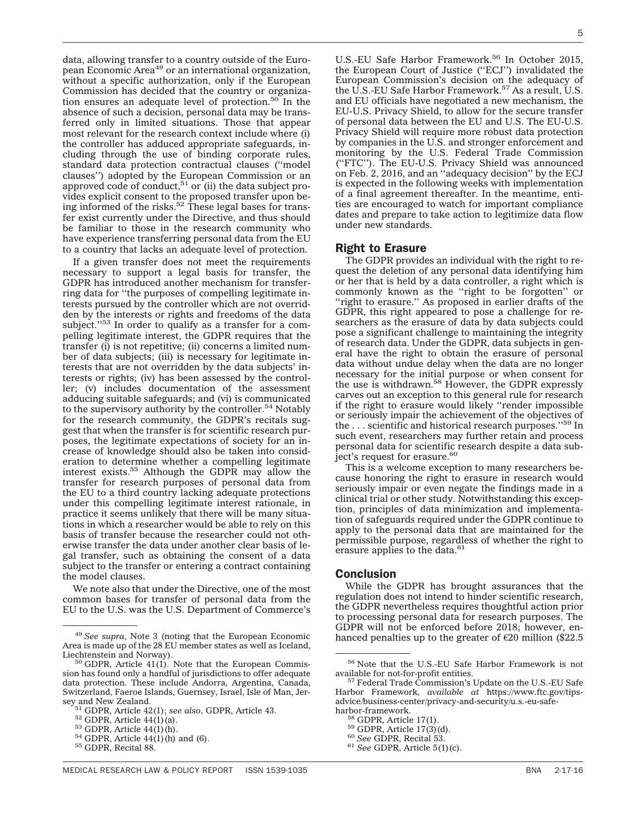data, allowing transfer to a country outside of the European Economic Area<sup>49</sup> or an international organization, without a specific authorization, only if the European Commission has decided that the country or organization ensures an adequate level of protection. $50^{\circ}$  In the absence of such a decision, personal data may be transferred only in limited situations. Those that appear most relevant for the research context include where (i) the controller has adduced appropriate safeguards, including through the use of binding corporate rules, standard data protection contractual clauses (''model clauses'') adopted by the European Commission or an approved code of conduct, $51$  or (ii) the data subject provides explicit consent to the proposed transfer upon being informed of the risks.<sup>52</sup> These legal bases for transfer exist currently under the Directive, and thus should be familiar to those in the research community who have experience transferring personal data from the EU to a country that lacks an adequate level of protection.

If a given transfer does not meet the requirements necessary to support a legal basis for transfer, the GDPR has introduced another mechanism for transferring data for ''the purposes of compelling legitimate interests pursued by the controller which are not overridden by the interests or rights and freedoms of the data subject."<sup>53</sup> In order to qualify as a transfer for a compelling legitimate interest, the GDPR requires that the transfer (i) is not repetitive; (ii) concerns a limited number of data subjects; (iii) is necessary for legitimate interests that are not overridden by the data subjects' interests or rights; (iv) has been assessed by the controller; (v) includes documentation of the assessment adducing suitable safeguards; and (vi) is communicated to the supervisory authority by the controller.<sup>54</sup> Notably for the research community, the GDPR's recitals suggest that when the transfer is for scientific research purposes, the legitimate expectations of society for an increase of knowledge should also be taken into consideration to determine whether a compelling legitimate interest exists.55 Although the GDPR may allow the transfer for research purposes of personal data from the EU to a third country lacking adequate protections under this compelling legitimate interest rationale, in practice it seems unlikely that there will be many situations in which a researcher would be able to rely on this basis of transfer because the researcher could not otherwise transfer the data under another clear basis of legal transfer, such as obtaining the consent of a data subject to the transfer or entering a contract containing the model clauses.

We note also that under the Directive, one of the most common bases for transfer of personal data from the EU to the U.S. was the U.S. Department of Commerce's U.S.-EU Safe Harbor Framework.<sup>56</sup> In October 2015, the European Court of Justice ("ECJ") invalidated the European Commission's decision on the adequacy of the U.S.-EU Safe Harbor Framework.<sup>57</sup> As a result, U.S. and EU officials have negotiated a new mechanism, the EU-U.S. Privacy Shield, to allow for the secure transfer of personal data between the EU and U.S. The EU-U.S. Privacy Shield will require more robust data protection by companies in the U.S. and stronger enforcement and monitoring by the U.S. Federal Trade Commission (''FTC''). The EU-U.S. Privacy Shield was announced on Feb. 2, 2016, and an ''adequacy decision'' by the ECJ is expected in the following weeks with implementation of a final agreement thereafter. In the meantime, entities are encouraged to watch for important compliance dates and prepare to take action to legitimize data flow under new standards.

# Right to Erasure

The GDPR provides an individual with the right to request the deletion of any personal data identifying him or her that is held by a data controller, a right which is commonly known as the ''right to be forgotten'' or "right to erasure." As proposed in earlier drafts of the GDPR, this right appeared to pose a challenge for researchers as the erasure of data by data subjects could pose a significant challenge to maintaining the integrity of research data. Under the GDPR, data subjects in general have the right to obtain the erasure of personal data without undue delay when the data are no longer necessary for the initial purpose or when consent for the use is withdrawn.<sup>58</sup> However, the GDPR expressly carves out an exception to this general rule for research if the right to erasure would likely ''render impossible or seriously impair the achievement of the objectives of the ... scientific and historical research purposes."<sup>59</sup> In such event, researchers may further retain and process personal data for scientific research despite a data subject's request for erasure.<sup>60</sup>

This is a welcome exception to many researchers because honoring the right to erasure in research would seriously impair or even negate the findings made in a clinical trial or other study. Notwithstanding this exception, principles of data minimization and implementation of safeguards required under the GDPR continue to apply to the personal data that are maintained for the permissible purpose, regardless of whether the right to erasure applies to the data.<sup>61</sup>

#### **Conclusion**

While the GDPR has brought assurances that the regulation does not intend to hinder scientific research, the GDPR nevertheless requires thoughtful action prior to processing personal data for research purposes. The GDPR will not be enforced before 2018; however, en-<sup>49</sup> See supra, Note 3 (noting that the European Economic hanced penalties up to the greater of  $\epsilon$ 20 million (\$22.5

Area is made up of the 28 EU member states as well as Iceland,

 $50$  GDPR, Article 41(1). Note that the European Commission has found only a handful of jurisdictions to offer adequate data protection. These include Andorra, Argentina, Canada, Switzerland, Faeroe Islands, Guernsey, Israel, Isle of Man, Jer-

<sup>&</sup>lt;sup>51</sup> GDPR, Article 42(1); *see also*, GDPR, Article 43.<br><sup>52</sup> GDPR, Article 44(1)(a).<br><sup>53</sup> GDPR, Article 44(1)(h).<br><sup>54</sup> GDPR, Article 44(1)(h) and (6).<br><sup>55</sup> GDPR, Recital 88.

 $^{56}$  Note that the U.S.-EU Safe Harbor Framework is not available for not-for-profit entities.

 $57$  Federal Trade Commission's Update on the U.S.-EU Safe Harbor Framework, *available at* [https://www.ftc.gov/tips](https://www.ftc.gov/tips-advice/business-center/privacy-and-security/u.s.-eu-safe-harbor-framework)[advice/business-center/privacy-and-security/u.s.-eu-safe-](https://www.ftc.gov/tips-advice/business-center/privacy-and-security/u.s.-eu-safe-harbor-framework)

<sup>&</sup>lt;sup>58</sup> GDPR, Article 17(1).<br><sup>59</sup> GDPR, Article 17(3)(d).<br><sup>60</sup> *See* GDPR, Recital 53. <sup>61</sup> *See* GDPR, Article 5(1)(c).